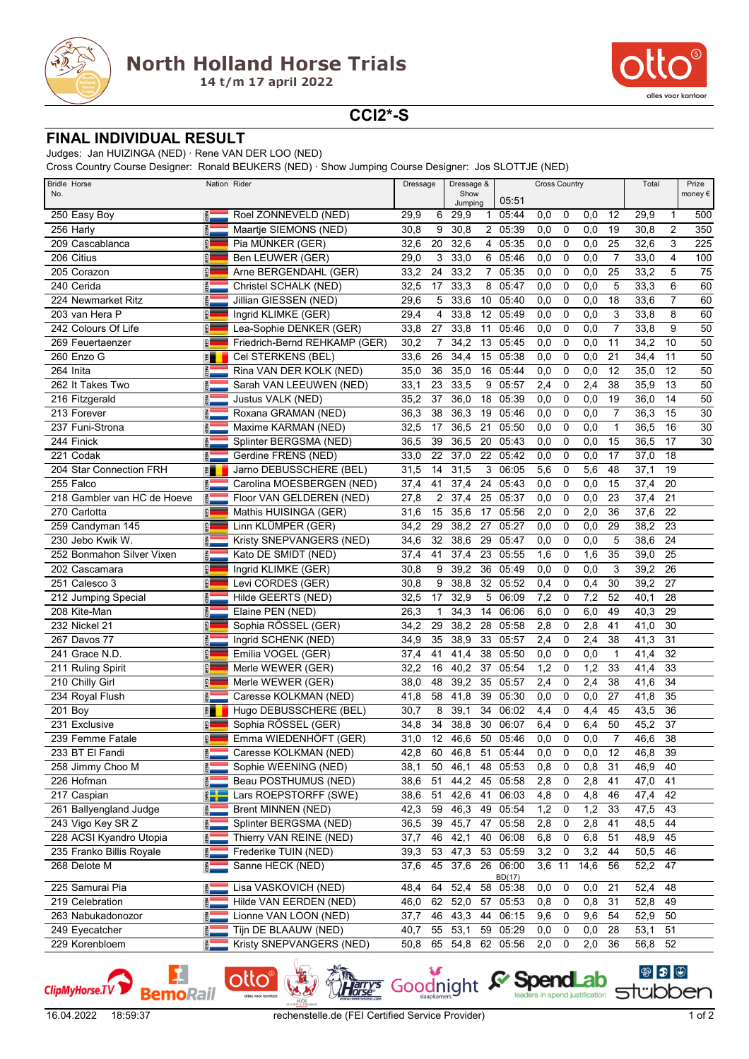



**CCI2\*-S**

## **FINAL INDIVIDUAL RESULT**

Judges: Jan HUIZINGA (NED) · Rene VAN DER LOO (NED)

Cross Country Course Designer: Ronald BEUKERS (NED) · Show Jumping Course Designer: Jos SLOTTJE (NED)

| <b>Bridle Horse</b><br>No.  | Nation Rider             |                               | Dressage |                 | Dressage &<br>Show |    |                    | <b>Cross Country</b> | Total       |      | Prize          |                             |                 |                 |
|-----------------------------|--------------------------|-------------------------------|----------|-----------------|--------------------|----|--------------------|----------------------|-------------|------|----------------|-----------------------------|-----------------|-----------------|
|                             |                          |                               |          |                 | Jumping            |    | 05:51              |                      |             |      |                |                             |                 | money€          |
| 250 Easy Boy                | $\frac{2}{9}$            | Roel ZONNEVELD (NED)          | 29,9     | 6               | 29,9               |    | 1 05:44            | 0,0                  | 0           | 0,0  | 12             | 29,9                        | 1               | 500             |
| 256 Harly                   | <b>RED</b>               | Maartje SIEMONS (NED)         | 30,8     | 9               | 30,8               |    | 2 05:39            | 0,0                  | 0           | 0,0  | 19             | 30,8                        | $\overline{2}$  | 350             |
| 209 Cascablanca             | GER                      | Pia MÜNKER (GER)              | 32,6     | 20              | 32,6               | 4  | 05:35              | 0,0                  | 0           | 0,0  | 25             | 32,6                        | 3               | 225             |
| 206 Citius                  | GER                      | Ben LEUWER (GER)              | 29,0     | 3               | 33,0               | 6  | 05:46              | 0,0                  | 0           | 0,0  | $\overline{7}$ | 33,0                        | $\overline{4}$  | 100             |
| 205 Corazon                 | GER                      | Arne BERGENDAHL (GER)         | 33,2     | 24              | 33,2               | 7  | 05:35              | 0,0                  | 0           | 0,0  | 25             | 33,2                        | 5               | $\overline{75}$ |
| 240 Cerida                  | <b>NED</b>               | Christel SCHALK (NED)         | 32,5     | 17              | 33,3               | 8  | 05:47              | 0,0                  | $\mathbf 0$ | 0,0  | 5              | 33,3                        | 6               | 60              |
| 224 Newmarket Ritz          | <b>NED</b>               | Jillian GIESSEN (NED)         | 29,6     | 5               | 33,6               | 10 | 05:40              | 0,0                  | $\mathbf 0$ | 0,0  | 18             | 33,6                        | $\overline{7}$  | 60              |
| 203 van Hera P              | <b>GER</b>               | Ingrid KLIMKE (GER)           | 29,4     | 4               | 33,8               | 12 | 05:49              | 0,0                  | 0           | 0,0  | 3              | 33,8                        | 8               | 60              |
| 242 Colours Of Life         | <b>GER</b>               | Lea-Sophie DENKER (GER)       | 33,8     | 27              | 33,8               | 11 | 05:46              | 0,0                  | 0           | 0,0  | 7              | 33,8                        | 9               | 50              |
| 269 Feuertaenzer            | GER                      | Friedrich-Bernd REHKAMP (GER) | 30,2     | 7               | 34,2               | 13 | 05:45              | 0,0                  | $\mathbf 0$ | 0,0  | 11             | 34,2                        | 10              | 50              |
| 260 Enzo G                  | E                        | Cel STERKENS (BEL)            | 33,6     | 26              | 34,4               | 15 | 05:38              | 0,0                  | $\mathbf 0$ | 0,0  | 21             | 34,4                        | 11              | 50              |
| 264 Inita                   | <b>NED</b>               | Rina VAN DER KOLK (NED)       | 35,0     | 36              | 35,0               | 16 | 05:44              | 0,0                  | $\mathbf 0$ | 0,0  | 12             | 35,0                        | 12              | 50              |
| 262 It Takes Two            | $\frac{z}{\overline{p}}$ | Sarah VAN LEEUWEN (NED)       | 33,1     | 23              | 33,5               | 9  | 05:57              | 2,4                  | 0           | 2,4  | 38             | 35,9                        | 13              | 50              |
| 216 Fitzgerald              | <b>RED</b>               | Justus VALK (NED)             | 35,2     | 37              | 36,0               | 18 | 05:39              | 0,0                  | $\mathbf 0$ | 0,0  | 19             | 36,0                        | 14              | 50              |
| 213 Forever                 | $rac{z}{\overline{c}}$   | Roxana GRAMAN (NED)           | 36,3     | 38              | 36,3               | 19 | 05:46              | 0,0                  | $\mathbf 0$ | 0,0  | $\overline{7}$ | 36,3                        | 15              | 30              |
| 237 Funi-Strona             | NED                      | Maxime KARMAN (NED)           | 32,5     | 17              | 36,5               | 21 | 05:50              | 0,0                  | 0           | 0,0  | 1              | 36,5                        | 16              | 30              |
| 244 Finick                  | $rac{z}{\overline{c}}$   | Splinter BERGSMA (NED)        | 36,5     | 39              | 36,5               | 20 | 05:43              | 0,0                  | 0           | 0,0  | 15             | 36,5                        | 17              | 30              |
| 221 Codak                   | <b>NED</b>               | Gerdine FRENS (NED)           | 33,0     | 22              | 37,0               | 22 | 05:42              | 0,0                  | 0           | 0,0  | 17             | 37,0                        | 18              |                 |
| 204 Star Connection FRH     | E                        | Jarno DEBUSSCHERE (BEL)       | 31,5     | 14              | 31,5               | 3  | 06:05              | 5,6                  | $\mathbf 0$ | 5,6  | 48             | 37,1                        | 19              |                 |
| 255 Falco                   | <b>AED</b>               | Carolina MOESBERGEN (NED)     | 37,4     | 41              | 37,4               | 24 | 05:43              | 0,0                  | $\mathbf 0$ | 0,0  | 15             | 37,4                        | 20              |                 |
| 218 Gambler van HC de Hoeve | $\frac{2}{9}$            | Floor VAN GELDEREN (NED)      | 27,8     | 2               | 37,4               | 25 | 05:37              | 0,0                  | $\mathbf 0$ | 0,0  | 23             | 37,4                        | 21              |                 |
| 270 Carlotta                | GER                      | Mathis HUISINGA (GER)         | 31,6     | 15              | 35,6               | 17 | 05:56              | 2,0                  | $\mathbf 0$ | 2,0  | 36             | 37,6                        | 22              |                 |
| 259 Candyman 145            | GER                      | Linn KLÜMPER (GER)            | 34,2     | 29              | 38,2               | 27 | 05:27              | 0,0                  | $\mathbf 0$ | 0,0  | 29             | 38,2                        | 23              |                 |
| 230 Jebo Kwik W.            | <b>NED</b>               | Kristy SNEPVANGERS (NED)      | 34,6     | 32              | 38,6               | 29 | 05:47              | 0,0                  | $\mathbf 0$ | 0,0  | 5              | 38,6                        | 24              |                 |
| 252 Bonmahon Silver Vixen   | $\frac{2}{10}$           | Kato DE SMIDT (NED)           | 37,4     | 41              | 37,4               | 23 | 05:55              | 1,6                  | 0           | 1,6  | 35             | 39,0                        | 25              |                 |
| 202 Cascamara               | GER                      | Ingrid KLIMKE (GER)           | 30,8     | 9               | 39,2               | 36 | 05:49              | 0,0                  | $\mathbf 0$ | 0,0  | 3              | 39,2                        | 26              |                 |
| 251 Calesco 3               | GER                      | Levi CORDES (GER)             | 30,8     | 9               | 38,8               |    | 32 05:52           | 0,4                  | 0           | 0,4  | 30             | 39,2                        | 27              |                 |
| 212 Jumping Special         | <b>NED</b>               | Hilde GEERTS (NED)            | 32,5     | 17              | 32,9               | 5  | 06:09              | 7,2                  | $\mathbf 0$ | 7,2  | 52             | 40,1                        | 28              |                 |
| 208 Kite-Man                | $\frac{Z}{10}$           | Elaine PEN (NED)              | 26,3     | 1               | 34,3               | 14 | 06:06              | 6,0                  | 0           | 6,0  | 49             | 40,3                        | 29              |                 |
| 232 Nickel 21               | GER                      | Sophia RÖSSEL (GER)           | 34,2     | 29              | 38,2               | 28 | 05:58              | 2,8                  | $\mathbf 0$ | 2,8  | 41             | 41,0                        | 30              |                 |
| 267 Davos 77                | <b>SED</b>               | Ingrid SCHENK (NED)           | 34,9     | 35              | 38,9               | 33 | 05:57              | 2,4                  | 0           | 2,4  | 38             | 41,3                        | 31              |                 |
| 241 Grace N.D.              | GER                      | Emilia VOGEL (GER)            | 37,4     | 41              | 41,4               | 38 | 05:50              | 0,0                  | $\mathbf 0$ | 0,0  | $\mathbf 1$    | 41,4                        | 32              |                 |
| 211 Ruling Spirit           | GER                      | Merle WEWER (GER)             | 32,2     | 16              | 40,2               | 37 | 05:54              | 1,2                  | 0           | 1,2  | 33             | 41,4                        | 33              |                 |
| 210 Chilly Girl             | GER                      | Merle WEWER (GER)             | 38,0     | 48              | 39,2               | 35 | 05:57              | 2,4                  | 0           | 2,4  | 38             | 41,6                        | 34              |                 |
| 234 Royal Flush             | <b>SED</b>               | Caresse KOLKMAN (NED)         | 41,8     | 58              | 41,8               | 39 | 05:30              | 0,0                  | 0           | 0,0  | 27             | 41,8                        | 35              |                 |
| 201 Boy                     | E                        | Hugo DEBUSSCHERE (BEL)        | 30,7     | 8               | 39,1               | 34 | 06:02              | 4,4                  | $\mathbf 0$ | 4,4  | 45             | 43,5                        | 36              |                 |
| 231 Exclusive               | GER                      | Sophia RÖSSEL (GER)           | 34,8     | 34              | 38,8               | 30 | 06:07              | 6,4                  | $\mathbf 0$ | 6,4  | 50             | 45,2                        | 37              |                 |
| 239 Femme Fatale            |                          | Emma WIEDENHÖFT (GER)         | 31,0     | $\overline{12}$ | 46,6               | 50 | 05:46              | 0,0                  | $\mathbf 0$ | 0,0  | $\overline{7}$ | 46,6                        | $\overline{38}$ |                 |
| 233 BT El Fandi             | ē.                       | Caresse KOLKMAN (NED)         | 42,8     | 60              | 46,8               | 51 | 05:44              | 0,0                  | 0           | 0,0  | 12             | 46,8                        | 39              |                 |
| 258 Jimmy Choo M            | <b>NED</b>               | Sophie WEENING (NED)          | 38,1     | 50              | 46,1               | 48 | 05:53              | 0,8                  | 0           | 0,8  | 31             | 46,9                        | 40              |                 |
| 226 Hofman                  | $rac{1}{2}$              | Beau POSTHUMUS (NED)          | 38,6     | 51              | 44,2               | 45 | 05:58              | 2,8                  | 0           | 2,8  | 41             | 47,0                        | 41              |                 |
| 217 Caspian                 | $rac{1}{2}$              | Lars ROEPSTORFF (SWE)         | 38,6     | 51              | 42,6               | 41 | 06:03              | 4,8                  | 0           | 4,8  | 46             | $\overline{47,4}$           | 42              |                 |
| 261 Ballyengland Judge      | $\frac{2}{10}$           | Brent MINNEN (NED)            | 42,3     | 59              | 46,3               | 49 | 05:54              | 1,2                  | 0           | 1,2  | 33             | 47,5                        | 43              |                 |
| 243 Vigo Key SR Z           | <b>AED</b>               | Splinter BERGSMA (NED)        | 36,5     | 39              | 45,7               | 47 | 05:58              | 2,8                  | 0           | 2,8  | 41             | 48,5                        | 44              |                 |
| 228 ACSI Kyandro Utopia     | NED                      | Thierry VAN REINE (NED)       | 37,7     | 46              | 42,1               | 40 | 06:08              | 6,8                  | 0           | 6,8  | 51             | 48,9                        | 45              |                 |
| 235 Franko Billis Royale    | NED                      | Frederike TUIN (NED)          | 39,3     | 53              | 47,3               | 53 | 05:59              | 3,2                  | $\mathbf 0$ | 3,2  | 44             | 50,5                        | 46              |                 |
| 268 Delote M                | $rac{2}{9}$              | Sanne HECK (NED)              | 37,6     | 45              | 37,6               | 26 | 06:00              | 3,6                  | 11          | 14,6 | 56             | 52,2                        | 47              |                 |
| 225 Samurai Pia             | <b>NED</b>               | Lisa VASKOVICH (NED)          | 48,4     | 64              | 52,4               |    | BD(17)<br>58 05:38 | 0,0                  | 0           | 0,0  | 21             | 52,4                        | 48              |                 |
| 219 Celebration             | $\frac{2}{9}$            | Hilde VAN EERDEN (NED)        | 46,0     | 62              | 52,0               | 57 | 05:53              | 0,8                  | 0           | 0,8  | 31             | 52,8                        | 49              |                 |
| 263 Nabukadonozor           | $rac{2}{9}$              | Lionne VAN LOON (NED)         | 37,7     | 46              | 43,3               | 44 | 06:15              | 9,6                  | 0           | 9,6  | 54             | 52,9                        | 50              |                 |
| 249 Eyecatcher              | 副                        | Tijn DE BLAAUW (NED)          | 40,7     | 55              | 53,1               | 59 | 05:29              | 0,0                  | 0           | 0,0  | 28             | 53,1                        | 51              |                 |
| 229 Korenbloem              | <b>NED</b>               | Kristy SNEPVANGERS (NED)      | 50,8     | 65              | 54,8               |    | 62 05:56           | 2,0                  | 0           | 2,0  | 36             | 56,8                        | 52              |                 |
|                             |                          |                               |          |                 |                    |    |                    |                      |             |      |                |                             |                 |                 |
| 1                           |                          | ollo <sup>®</sup> the Zim     |          |                 |                    |    | <b>C</b> Snand ah  |                      |             |      |                | $\circledast$ $\circledast$ |                 |                 |

ClipMyHorse.TV

lotto

**Bemo**Rail

**A Goodnight & SpendLab 888**